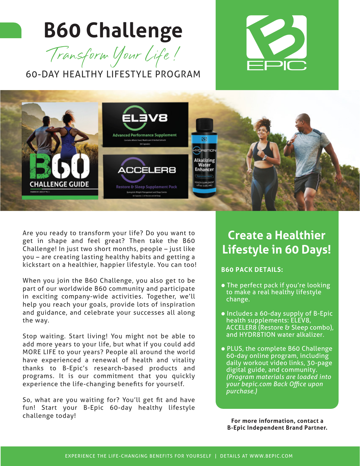# **B60 Challenge**



60-DAY HEALTHY LIFESTYLE PROGRAM





Are you ready to transform your life? Do you want to get in shape and feel great? Then take the B60 Challenge! In just two short months, people – just like you – are creating lasting healthy habits and getting a kickstart on a healthier, happier lifestyle. You can too!

When you join the B60 Challenge, you also get to be part of our worldwide B60 community and participate in exciting company-wide activities. Together, we'll help you reach your goals, provide lots of inspiration and guidance, and celebrate your successes all along the way.

Stop waiting. Start living! You might not be able to add more years to your life, but what if you could add MORE LIFE to your years? People all around the world have experienced a renewal of health and vitality thanks to B-Epic's research-based products and programs. It is our commitment that you quickly experience the life-changing benefits for yourself.

So, what are you waiting for? You'll get fit and have fun! Start your B-Epic 60-day healthy lifestyle challenge today!

### **Create a Healthier Lifestyle in 60 Days!**

#### **B60 PACK DETAILS:**

- The perfect pack if you're looking to make a real healthy lifestyle change.
- Includes a 60-day supply of B-Epic health supplements: ELEV8, ACCELER8 (Restore & Sleep combo), and HYDR8TION water alkalizer.
- PLUS, the complete B60 Challenge 60-day online program, including daily workout video links, 30-page digital guide, and community.  *(Program materials are loaded into your bepic.com Back Office upon purchase.)*

**For more information, contact a B-Epic Independent Brand Partner.**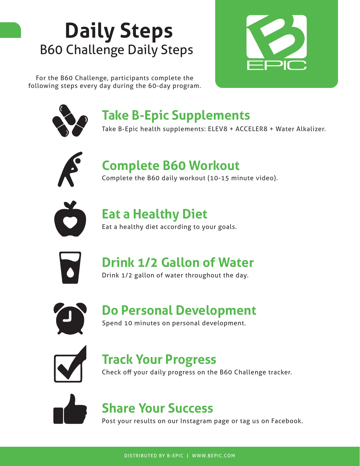# **Daily Steps** B60 Challenge Daily Steps

For the B60 Challenge, participants complete the following steps every day during the 60-day program.





### **Take B-Epic Supplements**

Take B-Epic health supplements: ELEV8 + ACCELER8 + Water Alkalizer.



### **Complete B60 Workout**

Complete the B60 daily workout (10-15 minute video).



### **Eat a Healthy Diet**

Eat a healthy diet according to your goals.



### **Drink 1/2 Gallon of Water**

Drink 1/2 gallon of water throughout the day.



#### Lorem ipsum **Do Personal Development**

Spend 10 minutes on personal development.



### **Track Your Progress**

Check off your daily progress on the B60 Challenge tracker.



### **Share Your Success**

Post your results on our Instagram page or tag us on Facebook.